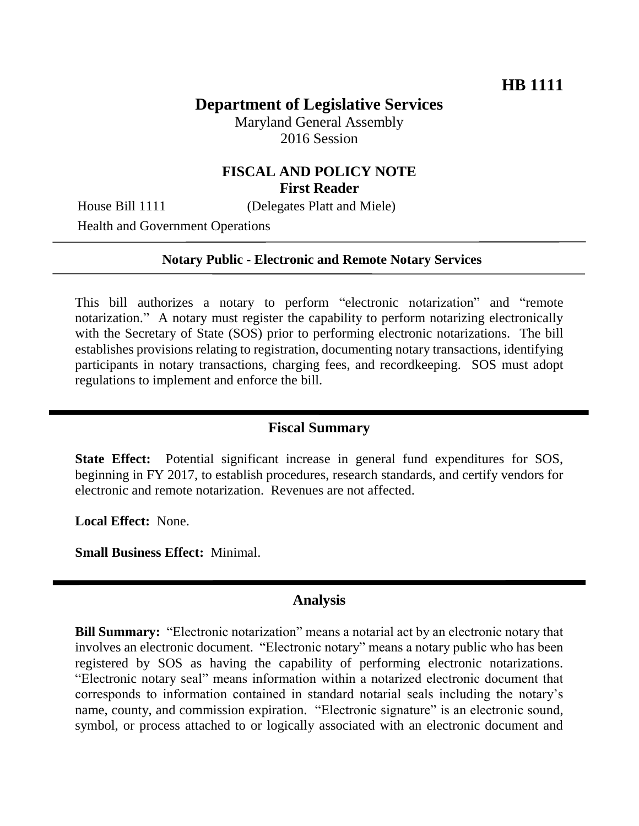# **Department of Legislative Services**

Maryland General Assembly 2016 Session

# **FISCAL AND POLICY NOTE First Reader**

House Bill 1111 (Delegates Platt and Miele)

Health and Government Operations

#### **Notary Public - Electronic and Remote Notary Services**

This bill authorizes a notary to perform "electronic notarization" and "remote notarization." A notary must register the capability to perform notarizing electronically with the Secretary of State (SOS) prior to performing electronic notarizations. The bill establishes provisions relating to registration, documenting notary transactions, identifying participants in notary transactions, charging fees, and recordkeeping. SOS must adopt regulations to implement and enforce the bill.

# **Fiscal Summary**

**State Effect:** Potential significant increase in general fund expenditures for SOS, beginning in FY 2017, to establish procedures, research standards, and certify vendors for electronic and remote notarization. Revenues are not affected.

**Local Effect:** None.

**Small Business Effect:** Minimal.

#### **Analysis**

**Bill Summary:** "Electronic notarization" means a notarial act by an electronic notary that involves an electronic document. "Electronic notary" means a notary public who has been registered by SOS as having the capability of performing electronic notarizations. "Electronic notary seal" means information within a notarized electronic document that corresponds to information contained in standard notarial seals including the notary's name, county, and commission expiration. "Electronic signature" is an electronic sound, symbol, or process attached to or logically associated with an electronic document and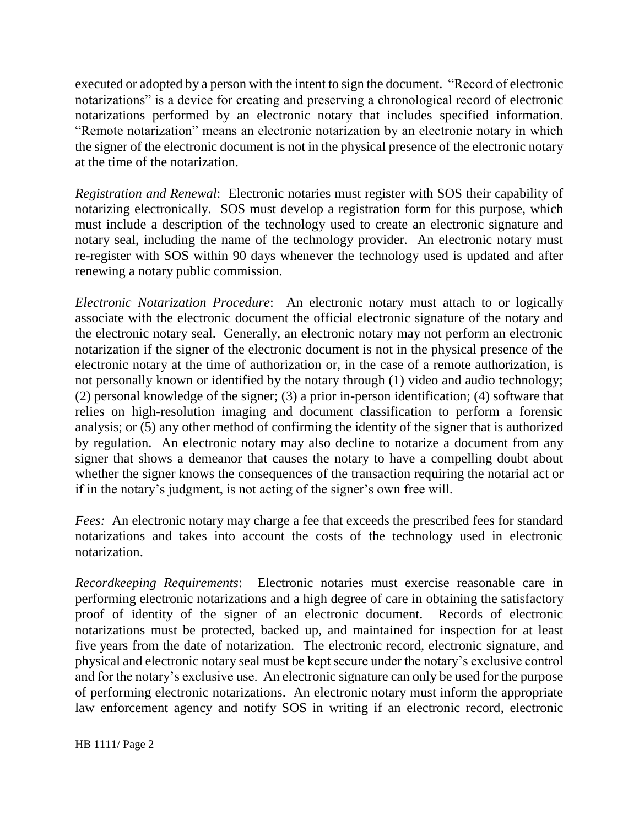executed or adopted by a person with the intent to sign the document. "Record of electronic notarizations" is a device for creating and preserving a chronological record of electronic notarizations performed by an electronic notary that includes specified information. "Remote notarization" means an electronic notarization by an electronic notary in which the signer of the electronic document is not in the physical presence of the electronic notary at the time of the notarization.

*Registration and Renewal*: Electronic notaries must register with SOS their capability of notarizing electronically. SOS must develop a registration form for this purpose, which must include a description of the technology used to create an electronic signature and notary seal, including the name of the technology provider. An electronic notary must re-register with SOS within 90 days whenever the technology used is updated and after renewing a notary public commission.

*Electronic Notarization Procedure*: An electronic notary must attach to or logically associate with the electronic document the official electronic signature of the notary and the electronic notary seal. Generally, an electronic notary may not perform an electronic notarization if the signer of the electronic document is not in the physical presence of the electronic notary at the time of authorization or, in the case of a remote authorization, is not personally known or identified by the notary through (1) video and audio technology; (2) personal knowledge of the signer; (3) a prior in-person identification; (4) software that relies on high-resolution imaging and document classification to perform a forensic analysis; or (5) any other method of confirming the identity of the signer that is authorized by regulation. An electronic notary may also decline to notarize a document from any signer that shows a demeanor that causes the notary to have a compelling doubt about whether the signer knows the consequences of the transaction requiring the notarial act or if in the notary's judgment, is not acting of the signer's own free will.

*Fees:* An electronic notary may charge a fee that exceeds the prescribed fees for standard notarizations and takes into account the costs of the technology used in electronic notarization.

*Recordkeeping Requirements*: Electronic notaries must exercise reasonable care in performing electronic notarizations and a high degree of care in obtaining the satisfactory proof of identity of the signer of an electronic document. Records of electronic notarizations must be protected, backed up, and maintained for inspection for at least five years from the date of notarization. The electronic record, electronic signature, and physical and electronic notary seal must be kept secure under the notary's exclusive control and for the notary's exclusive use. An electronic signature can only be used for the purpose of performing electronic notarizations. An electronic notary must inform the appropriate law enforcement agency and notify SOS in writing if an electronic record, electronic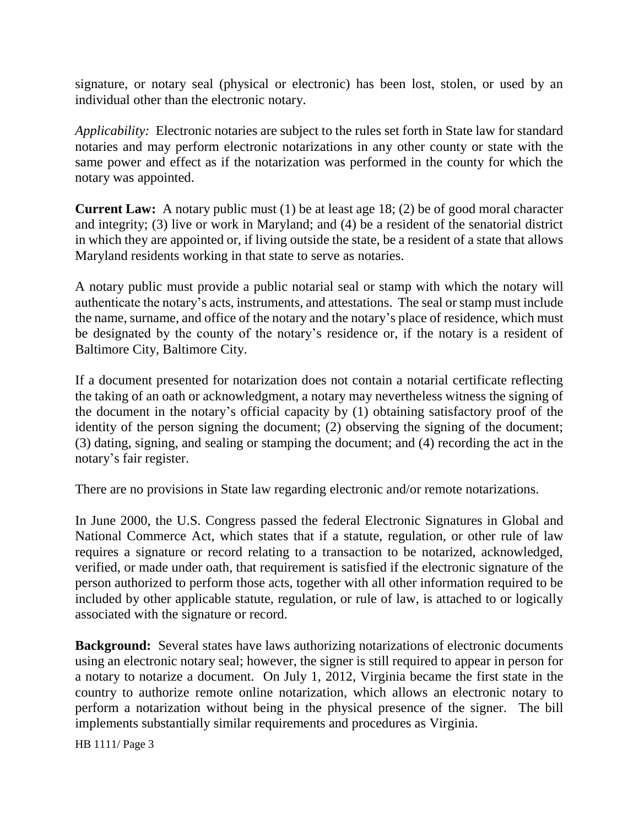signature, or notary seal (physical or electronic) has been lost, stolen, or used by an individual other than the electronic notary.

*Applicability:* Electronic notaries are subject to the rules set forth in State law for standard notaries and may perform electronic notarizations in any other county or state with the same power and effect as if the notarization was performed in the county for which the notary was appointed.

**Current Law:** A notary public must (1) be at least age 18; (2) be of good moral character and integrity; (3) live or work in Maryland; and (4) be a resident of the senatorial district in which they are appointed or, if living outside the state, be a resident of a state that allows Maryland residents working in that state to serve as notaries.

A notary public must provide a public notarial seal or stamp with which the notary will authenticate the notary's acts, instruments, and attestations. The seal or stamp must include the name, surname, and office of the notary and the notary's place of residence, which must be designated by the county of the notary's residence or, if the notary is a resident of Baltimore City, Baltimore City.

If a document presented for notarization does not contain a notarial certificate reflecting the taking of an oath or acknowledgment, a notary may nevertheless witness the signing of the document in the notary's official capacity by (1) obtaining satisfactory proof of the identity of the person signing the document; (2) observing the signing of the document; (3) dating, signing, and sealing or stamping the document; and (4) recording the act in the notary's fair register.

There are no provisions in State law regarding electronic and/or remote notarizations.

In June 2000, the U.S. Congress passed the federal Electronic Signatures in Global and National Commerce Act, which states that if a statute, regulation, or other rule of law requires a signature or record relating to a transaction to be notarized, acknowledged, verified, or made under oath, that requirement is satisfied if the electronic signature of the person authorized to perform those acts, together with all other information required to be included by other applicable statute, regulation, or rule of law, is attached to or logically associated with the signature or record.

**Background:** Several states have laws authorizing notarizations of electronic documents using an electronic notary seal; however, the signer is still required to appear in person for a notary to notarize a document. On July 1, 2012, Virginia became the first state in the country to authorize remote online notarization, which allows an electronic notary to perform a notarization without being in the physical presence of the signer. The bill implements substantially similar requirements and procedures as Virginia.

HB 1111/ Page 3